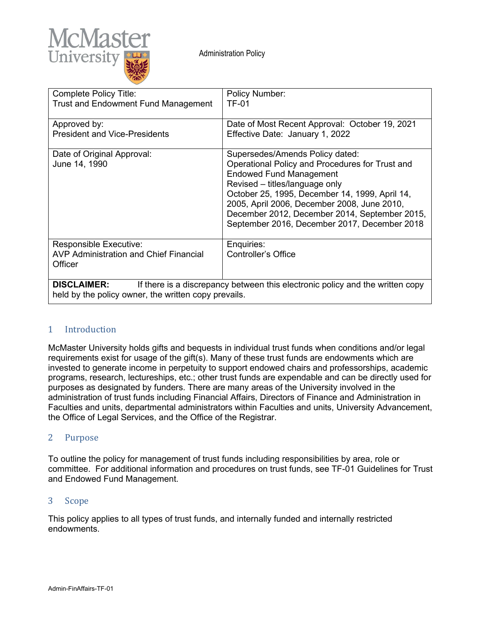

| Complete Policy Title:<br><b>Trust and Endowment Fund Management</b>                                                                                        | Policy Number:<br><b>TF-01</b>                                                                                                                                                                                                                                                                                                                           |
|-------------------------------------------------------------------------------------------------------------------------------------------------------------|----------------------------------------------------------------------------------------------------------------------------------------------------------------------------------------------------------------------------------------------------------------------------------------------------------------------------------------------------------|
| Approved by:<br><b>President and Vice-Presidents</b>                                                                                                        | Date of Most Recent Approval: October 19, 2021<br>Effective Date: January 1, 2022                                                                                                                                                                                                                                                                        |
| Date of Original Approval:<br>June 14, 1990                                                                                                                 | Supersedes/Amends Policy dated:<br>Operational Policy and Procedures for Trust and<br><b>Endowed Fund Management</b><br>Revised – titles/language only<br>October 25, 1995, December 14, 1999, April 14,<br>2005, April 2006, December 2008, June 2010,<br>December 2012, December 2014, September 2015,<br>September 2016, December 2017, December 2018 |
| <b>Responsible Executive:</b><br><b>AVP Administration and Chief Financial</b><br>Officer                                                                   | Enquiries:<br>Controller's Office                                                                                                                                                                                                                                                                                                                        |
| <b>DISCLAIMER:</b><br>If there is a discrepancy between this electronic policy and the written copy<br>held by the policy owner, the written copy prevails. |                                                                                                                                                                                                                                                                                                                                                          |

## 1 Introduction

McMaster University holds gifts and bequests in individual trust funds when conditions and/or legal requirements exist for usage of the gift(s). Many of these trust funds are endowments which are invested to generate income in perpetuity to support endowed chairs and professorships, academic programs, research, lectureships, etc.; other trust funds are expendable and can be directly used for purposes as designated by funders. There are many areas of the University involved in the administration of trust funds including Financial Affairs, Directors of Finance and Administration in Faculties and units, departmental administrators within Faculties and units, University Advancement, the Office of Legal Services, and the Office of the Registrar.

## 2 Purpose

To outline the policy for management of trust funds including responsibilities by area, role or committee. For additional information and procedures on trust funds, see TF-01 Guidelines for Trust and Endowed Fund Management.

### 3 Scope

This policy applies to all types of trust funds, and internally funded and internally restricted endowments.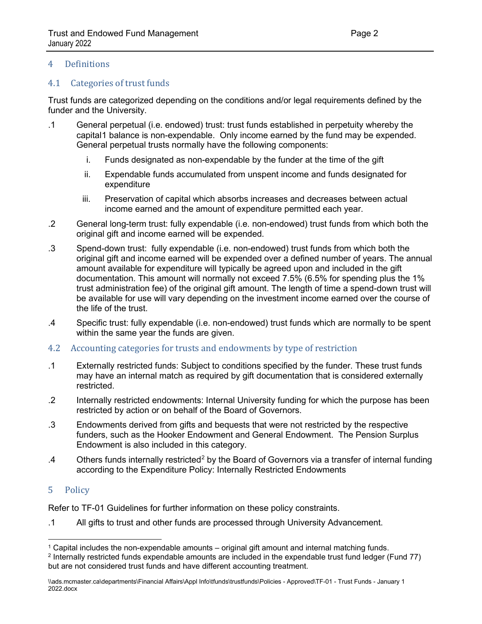## 4 Definitions

## 4.1 Categories of trust funds

Trust funds are categorized depending on the conditions and/or legal requirements defined by the funder and the University.

- .1 General perpetual (i.e. endowed) trust: trust funds established in perpetuity whereby the capita[l1](#page-1-0) balance is non-expendable. Only income earned by the fund may be expended. General perpetual trusts normally have the following components:
	- i. Funds designated as non-expendable by the funder at the time of the gift
	- ii. Expendable funds accumulated from unspent income and funds designated for expenditure
	- iii. Preservation of capital which absorbs increases and decreases between actual income earned and the amount of expenditure permitted each year.
- .2 General long-term trust: fully expendable (i.e. non-endowed) trust funds from which both the original gift and income earned will be expended.
- .3 Spend-down trust: fully expendable (i.e. non-endowed) trust funds from which both the original gift and income earned will be expended over a defined number of years. The annual amount available for expenditure will typically be agreed upon and included in the gift documentation. This amount will normally not exceed 7.5% (6.5% for spending plus the 1% trust administration fee) of the original gift amount. The length of time a spend-down trust will be available for use will vary depending on the investment income earned over the course of the life of the trust.
- .4 Specific trust: fully expendable (i.e. non-endowed) trust funds which are normally to be spent within the same year the funds are given.
- 4.2 Accounting categories for trusts and endowments by type of restriction
- .1 Externally restricted funds: Subject to conditions specified by the funder. These trust funds may have an internal match as required by gift documentation that is considered externally restricted.
- .2 Internally restricted endowments: Internal University funding for which the purpose has been restricted by action or on behalf of the Board of Governors.
- .3 Endowments derived from gifts and bequests that were not restricted by the respective funders, such as the Hooker Endowment and General Endowment. The Pension Surplus Endowment is also included in this category.
- .4 Others funds internally restricted[2](#page-1-1) by the Board of Governors via a transfer of internal funding according to the [Expenditure Policy: Internally Restricted Endowments](https://financial-affairs.mcmaster.ca/app/uploads/2018/07/Expenditure-Policy-Internally-Restricted-Endowments.pdf)

# 5 Policy

Refer to TF-01 Guidelines for further information on these policy constraints.

.1 All gifts to trust and other funds are processed through University Advancement.

<sup>1</sup> Capital includes the non-expendable amounts – original gift amount and internal matching funds.

<span id="page-1-1"></span><span id="page-1-0"></span><sup>2</sup> Internally restricted funds expendable amounts are included in the expendable trust fund ledger (Fund 77) but are not considered trust funds and have different accounting treatment.

<sup>\\</sup>ads.mcmaster.ca\departments\Financial Affairs\Appl Info\tfunds\trustfunds\Policies - Approved\TF-01 - Trust Funds - January 1 2022.docx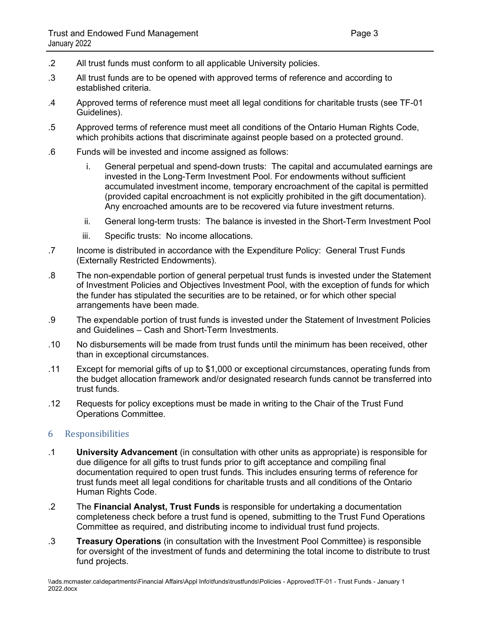- .2 All trust funds must conform to all applicable University policies.
- .3 All trust funds are to be opened with approved terms of reference and according to established criteria.
- .4 Approved terms of reference must meet all legal conditions for charitable trusts (see TF-01 Guidelines).
- .5 Approved terms of reference must meet all conditions of the Ontario Human Rights Code, which prohibits actions that discriminate against people based on a protected ground.
- .6 Funds will be invested and income assigned as follows:
	- i. General perpetual and spend-down trusts: The capital and accumulated earnings are invested in the Long-Term Investment Pool. For endowments without sufficient accumulated investment income, temporary encroachment of the capital is permitted (provided capital encroachment is not explicitly prohibited in the gift documentation). Any encroached amounts are to be recovered via future investment returns.
	- ii. General long-term trusts: The balance is invested in the Short-Term Investment Pool
	- iii. Specific trusts: No income allocations.
- .7 Income is distributed in accordance with the Expenditure Policy: General Trust Funds (Externally Restricted Endowments).
- .8 The non-expendable portion of general perpetual trust funds is invested under the Statement of Investment Policies and Objectives Investment Pool, with the exception of funds for which the funder has stipulated the securities are to be retained, or for which other special arrangements have been made.
- .9 The expendable portion of trust funds is invested under the Statement of Investment Policies and Guidelines – Cash and Short-Term Investments.
- .10 No disbursements will be made from trust funds until the minimum has been received, other than in exceptional circumstances.
- .11 Except for memorial gifts of up to \$1,000 or exceptional circumstances, operating funds from the budget allocation framework and/or designated research funds cannot be transferred into trust funds.
- .12 Requests for policy exceptions must be made in writing to the Chair of the Trust Fund Operations Committee.

### 6 Responsibilities

- .1 **University Advancement** (in consultation with other units as appropriate) is responsible for due diligence for all gifts to trust funds prior to gift acceptance and compiling final documentation required to open trust funds. This includes ensuring terms of reference for trust funds meet all legal conditions for charitable trusts and all conditions of the Ontario Human Rights Code.
- .2 The **Financial Analyst, Trust Funds** is responsible for undertaking a documentation completeness check before a trust fund is opened, submitting to the Trust Fund Operations Committee as required, and distributing income to individual trust fund projects.
- .3 **Treasury Operations** (in consultation with the Investment Pool Committee) is responsible for oversight of the investment of funds and determining the total income to distribute to trust fund projects.